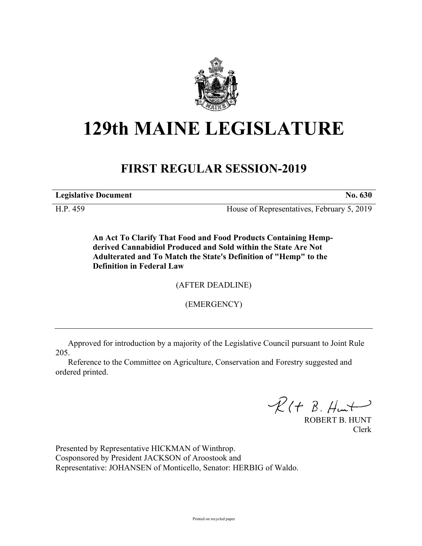

# **129th MAINE LEGISLATURE**

## **FIRST REGULAR SESSION-2019**

**Legislative Document No. 630**

H.P. 459 House of Representatives, February 5, 2019

**An Act To Clarify That Food and Food Products Containing Hempderived Cannabidiol Produced and Sold within the State Are Not Adulterated and To Match the State's Definition of "Hemp" to the Definition in Federal Law**

(AFTER DEADLINE)

(EMERGENCY)

Approved for introduction by a majority of the Legislative Council pursuant to Joint Rule 205.

Reference to the Committee on Agriculture, Conservation and Forestry suggested and ordered printed.

 $R(H B. H<sub>un</sub>+)$ 

ROBERT B. HUNT Clerk

Presented by Representative HICKMAN of Winthrop. Cosponsored by President JACKSON of Aroostook and Representative: JOHANSEN of Monticello, Senator: HERBIG of Waldo.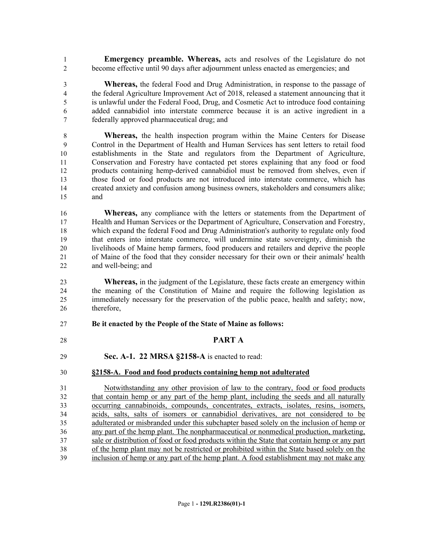**Emergency preamble. Whereas,** acts and resolves of the Legislature do not become effective until 90 days after adjournment unless enacted as emergencies; and

 **Whereas,** the federal Food and Drug Administration, in response to the passage of the federal Agriculture Improvement Act of 2018, released a statement announcing that it is unlawful under the Federal Food, Drug, and Cosmetic Act to introduce food containing added cannabidiol into interstate commerce because it is an active ingredient in a federally approved pharmaceutical drug; and

 **Whereas,** the health inspection program within the Maine Centers for Disease Control in the Department of Health and Human Services has sent letters to retail food establishments in the State and regulators from the Department of Agriculture, Conservation and Forestry have contacted pet stores explaining that any food or food products containing hemp-derived cannabidiol must be removed from shelves, even if those food or food products are not introduced into interstate commerce, which has created anxiety and confusion among business owners, stakeholders and consumers alike; and

**Whereas,** any compliance with the letters or statements from the Department of Health and Human Services or the Department of Agriculture, Conservation and Forestry, which expand the federal Food and Drug Administration's authority to regulate only food that enters into interstate commerce, will undermine state sovereignty, diminish the livelihoods of Maine hemp farmers, food producers and retailers and deprive the people of Maine of the food that they consider necessary for their own or their animals' health and well-being; and

**Whereas,** in the judgment of the Legislature, these facts create an emergency within the meaning of the Constitution of Maine and require the following legislation as immediately necessary for the preservation of the public peace, health and safety; now, therefore,

#### **Be it enacted by the People of the State of Maine as follows:**

- **PART A**
- **Sec. A-1. 22 MRSA §2158-A** is enacted to read:

### **§2158-A. Food and food products containing hemp not adulterated**

 Notwithstanding any other provision of law to the contrary, food or food products that contain hemp or any part of the hemp plant, including the seeds and all naturally occurring cannabinoids, compounds, concentrates, extracts, isolates, resins, isomers, acids, salts, salts of isomers or cannabidiol derivatives, are not considered to be adulterated or misbranded under this subchapter based solely on the inclusion of hemp or any part of the hemp plant. The nonpharmaceutical or nonmedical production, marketing, sale or distribution of food or food products within the State that contain hemp or any part of the hemp plant may not be restricted or prohibited within the State based solely on the inclusion of hemp or any part of the hemp plant. A food establishment may not make any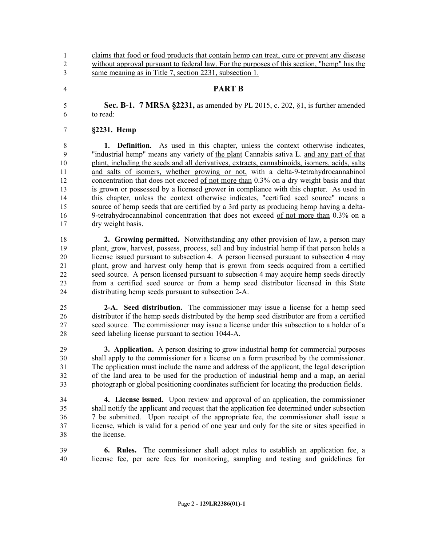claims that food or food products that contain hemp can treat, cure or prevent any disease without approval pursuant to federal law. For the purposes of this section, "hemp" has the same meaning as in Title 7, section 2231, subsection 1.

- **PART B**
- **Sec. B-1. 7 MRSA §2231,** as amended by PL 2015, c. 202, §1, is further amended to read:

#### **§2231. Hemp**

 **1. Definition.** As used in this chapter, unless the context otherwise indicates, "industrial hemp" means any variety of the plant Cannabis sativa L. and any part of that plant, including the seeds and all derivatives, extracts, cannabinoids, isomers, acids, salts and salts of isomers, whether growing or not, with a delta-9-tetrahydrocannabinol 12 concentration that does not exceed of not more than 0.3% on a dry weight basis and that is grown or possessed by a licensed grower in compliance with this chapter. As used in this chapter, unless the context otherwise indicates, "certified seed source" means a source of hemp seeds that are certified by a 3rd party as producing hemp having a delta-16 9-tetrahydrocannabinol concentration that does not exceed of not more than 0.3% on a dry weight basis.

 **2. Growing permitted.** Notwithstanding any other provision of law, a person may 19 plant, grow, harvest, possess, process, sell and buy industrial hemp if that person holds a license issued pursuant to subsection 4. A person licensed pursuant to subsection 4 may plant, grow and harvest only hemp that is grown from seeds acquired from a certified seed source. A person licensed pursuant to subsection 4 may acquire hemp seeds directly from a certified seed source or from a hemp seed distributor licensed in this State distributing hemp seeds pursuant to subsection 2-A.

 **2-A. Seed distribution.** The commissioner may issue a license for a hemp seed distributor if the hemp seeds distributed by the hemp seed distributor are from a certified seed source. The commissioner may issue a license under this subsection to a holder of a seed labeling license pursuant to section 1044-A.

 **3. Application.** A person desiring to grow industrial hemp for commercial purposes shall apply to the commissioner for a license on a form prescribed by the commissioner. The application must include the name and address of the applicant, the legal description of the land area to be used for the production of industrial hemp and a map, an aerial photograph or global positioning coordinates sufficient for locating the production fields.

 **4. License issued.** Upon review and approval of an application, the commissioner shall notify the applicant and request that the application fee determined under subsection 7 be submitted. Upon receipt of the appropriate fee, the commissioner shall issue a license, which is valid for a period of one year and only for the site or sites specified in the license.

 **6. Rules.** The commissioner shall adopt rules to establish an application fee, a license fee, per acre fees for monitoring, sampling and testing and guidelines for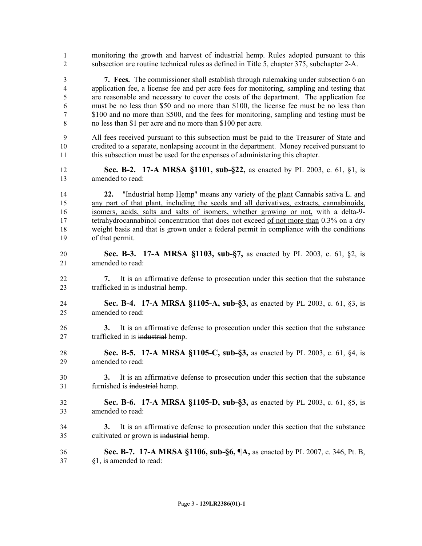| $\mathbf{1}$                     | monitoring the growth and harvest of industrial hemp. Rules adopted pursuant to this                                                                                                                                                                                                                                                                                                                                                                                           |
|----------------------------------|--------------------------------------------------------------------------------------------------------------------------------------------------------------------------------------------------------------------------------------------------------------------------------------------------------------------------------------------------------------------------------------------------------------------------------------------------------------------------------|
| $\overline{2}$                   | subsection are routine technical rules as defined in Title 5, chapter 375, subchapter 2-A.                                                                                                                                                                                                                                                                                                                                                                                     |
| $\mathfrak{Z}$                   | 7. Fees. The commissioner shall establish through rulemaking under subsection 6 an                                                                                                                                                                                                                                                                                                                                                                                             |
| $\overline{4}$                   | application fee, a license fee and per acre fees for monitoring, sampling and testing that                                                                                                                                                                                                                                                                                                                                                                                     |
| $\mathfrak s$                    | are reasonable and necessary to cover the costs of the department. The application fee                                                                                                                                                                                                                                                                                                                                                                                         |
| 6                                | must be no less than \$50 and no more than \$100, the license fee must be no less than                                                                                                                                                                                                                                                                                                                                                                                         |
| 7                                | \$100 and no more than \$500, and the fees for monitoring, sampling and testing must be                                                                                                                                                                                                                                                                                                                                                                                        |
| 8                                | no less than \$1 per acre and no more than \$100 per acre.                                                                                                                                                                                                                                                                                                                                                                                                                     |
| 9                                | All fees received pursuant to this subsection must be paid to the Treasurer of State and                                                                                                                                                                                                                                                                                                                                                                                       |
| 10                               | credited to a separate, nonlapsing account in the department. Money received pursuant to                                                                                                                                                                                                                                                                                                                                                                                       |
| 11                               | this subsection must be used for the expenses of administering this chapter.                                                                                                                                                                                                                                                                                                                                                                                                   |
| 12                               | Sec. B-2. 17-A MRSA §1101, sub-§22, as enacted by PL 2003, c. 61, §1, is                                                                                                                                                                                                                                                                                                                                                                                                       |
| 13                               | amended to read:                                                                                                                                                                                                                                                                                                                                                                                                                                                               |
| 14<br>15<br>16<br>17<br>18<br>19 | "Industrial hemp Hemp" means any variety of the plant Cannabis sativa L. and<br>22.<br>any part of that plant, including the seeds and all derivatives, extracts, cannabinoids,<br>isomers, acids, salts and salts of isomers, whether growing or not, with a delta-9-<br>tetrahydrocannabinol concentration that does not exceed of not more than 0.3% on a dry<br>weight basis and that is grown under a federal permit in compliance with the conditions<br>of that permit. |
| 20                               | Sec. B-3. 17-A MRSA §1103, sub-§7, as enacted by PL 2003, c. 61, §2, is                                                                                                                                                                                                                                                                                                                                                                                                        |
| 21                               | amended to read:                                                                                                                                                                                                                                                                                                                                                                                                                                                               |
| 22<br>23                         | It is an affirmative defense to prosecution under this section that the substance<br>7.<br>trafficked in is industrial hemp.                                                                                                                                                                                                                                                                                                                                                   |
| 24                               | Sec. B-4. 17-A MRSA §1105-A, sub-§3, as enacted by PL 2003, c. 61, §3, is                                                                                                                                                                                                                                                                                                                                                                                                      |
| 25                               | amended to read:                                                                                                                                                                                                                                                                                                                                                                                                                                                               |
| 26<br>27                         | It is an affirmative defense to prosecution under this section that the substance<br>3.<br>trafficked in is industrial hemp.                                                                                                                                                                                                                                                                                                                                                   |
| 28                               | Sec. B-5. 17-A MRSA §1105-C, sub-§3, as enacted by PL 2003, c. 61, §4, is                                                                                                                                                                                                                                                                                                                                                                                                      |
| 29                               | amended to read:                                                                                                                                                                                                                                                                                                                                                                                                                                                               |
| 30<br>31                         | It is an affirmative defense to prosecution under this section that the substance<br>3.<br>furnished is industrial hemp.                                                                                                                                                                                                                                                                                                                                                       |
| 32                               | Sec. B-6. 17-A MRSA §1105-D, sub-§3, as enacted by PL 2003, c. 61, §5, is                                                                                                                                                                                                                                                                                                                                                                                                      |
| 33                               | amended to read:                                                                                                                                                                                                                                                                                                                                                                                                                                                               |
| 34<br>35                         | It is an affirmative defense to prosecution under this section that the substance<br>3.<br>cultivated or grown is industrial hemp.                                                                                                                                                                                                                                                                                                                                             |
| 36                               | <b>Sec. B-7.</b> 17-A MRSA §1106, sub-§6, ¶A, as enacted by PL 2007, c. 346, Pt. B,                                                                                                                                                                                                                                                                                                                                                                                            |
| 37                               | §1, is amended to read:                                                                                                                                                                                                                                                                                                                                                                                                                                                        |